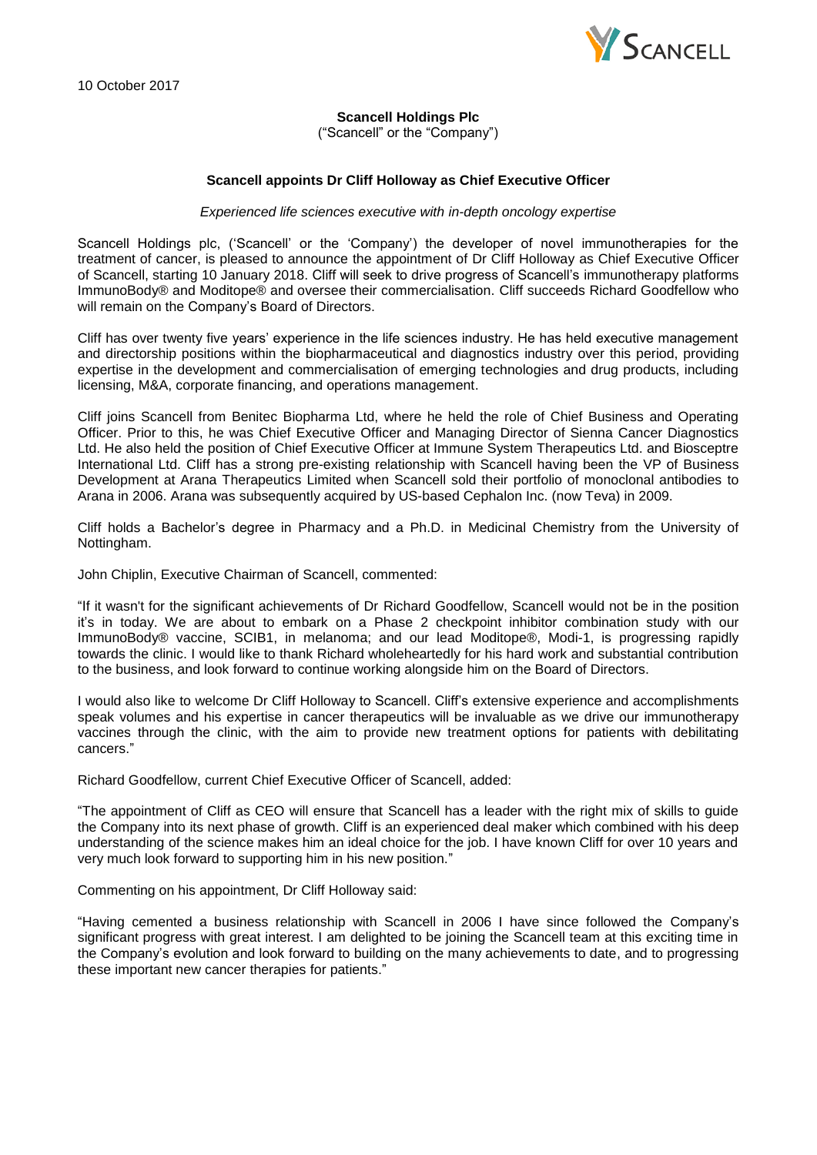10 October 2017



# **Scancell Holdings Plc**

("Scancell" or the "Company")

# **Scancell appoints Dr Cliff Holloway as Chief Executive Officer**

### *Experienced life sciences executive with in-depth oncology expertise*

Scancell Holdings plc, ('Scancell' or the 'Company') the developer of novel immunotherapies for the treatment of cancer, is pleased to announce the appointment of Dr Cliff Holloway as Chief Executive Officer of Scancell, starting 10 January 2018. Cliff will seek to drive progress of Scancell's immunotherapy platforms ImmunoBody® and Moditope® and oversee their commercialisation. Cliff succeeds Richard Goodfellow who will remain on the Company's Board of Directors.

Cliff has over twenty five years' experience in the life sciences industry. He has held executive management and directorship positions within the biopharmaceutical and diagnostics industry over this period, providing expertise in the development and commercialisation of emerging technologies and drug products, including licensing, M&A, corporate financing, and operations management.

Cliff joins Scancell from Benitec Biopharma Ltd, where he held the role of Chief Business and Operating Officer. Prior to this, he was Chief Executive Officer and Managing Director of Sienna Cancer Diagnostics Ltd. He also held the position of Chief Executive Officer at Immune System Therapeutics Ltd. and Biosceptre International Ltd. Cliff has a strong pre-existing relationship with Scancell having been the VP of Business Development at Arana Therapeutics Limited when Scancell sold their portfolio of monoclonal antibodies to Arana in 2006. Arana was subsequently acquired by US-based Cephalon Inc. (now Teva) in 2009.

Cliff holds a Bachelor's degree in Pharmacy and a Ph.D. in Medicinal Chemistry from the University of Nottingham.

John Chiplin, Executive Chairman of Scancell, commented:

"If it wasn't for the significant achievements of Dr Richard Goodfellow, Scancell would not be in the position it's in today. We are about to embark on a Phase 2 checkpoint inhibitor combination study with our ImmunoBody® vaccine, SCIB1, in melanoma; and our lead Moditope®, Modi-1, is progressing rapidly towards the clinic. I would like to thank Richard wholeheartedly for his hard work and substantial contribution to the business, and look forward to continue working alongside him on the Board of Directors.

I would also like to welcome Dr Cliff Holloway to Scancell. Cliff's extensive experience and accomplishments speak volumes and his expertise in cancer therapeutics will be invaluable as we drive our immunotherapy vaccines through the clinic, with the aim to provide new treatment options for patients with debilitating cancers."

Richard Goodfellow, current Chief Executive Officer of Scancell, added:

"The appointment of Cliff as CEO will ensure that Scancell has a leader with the right mix of skills to guide the Company into its next phase of growth. Cliff is an experienced deal maker which combined with his deep understanding of the science makes him an ideal choice for the job. I have known Cliff for over 10 years and very much look forward to supporting him in his new position."

Commenting on his appointment, Dr Cliff Holloway said:

"Having cemented a business relationship with Scancell in 2006 I have since followed the Company's significant progress with great interest. I am delighted to be joining the Scancell team at this exciting time in the Company's evolution and look forward to building on the many achievements to date, and to progressing these important new cancer therapies for patients."